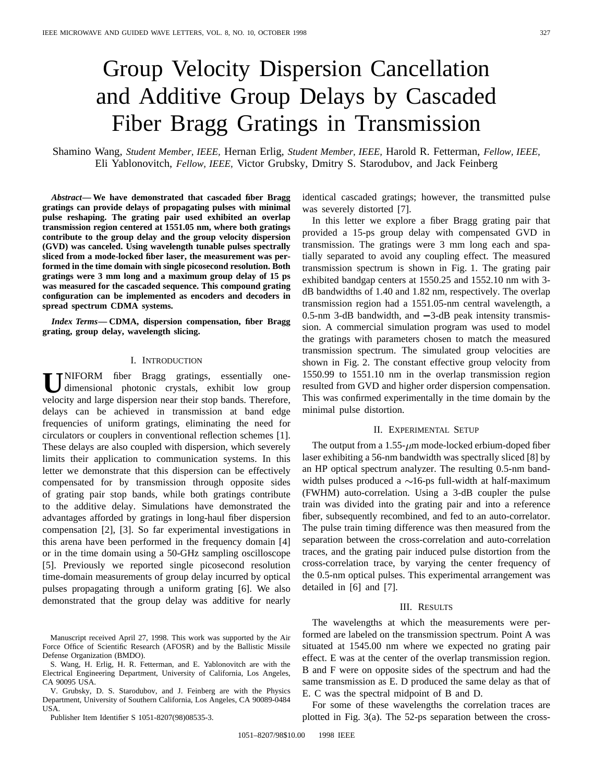# Group Velocity Dispersion Cancellation and Additive Group Delays by Cascaded Fiber Bragg Gratings in Transmission

Shamino Wang, *Student Member, IEEE,* Hernan Erlig, *Student Member, IEEE,* Harold R. Fetterman, *Fellow, IEEE,* Eli Yablonovitch, *Fellow, IEEE,* Victor Grubsky, Dmitry S. Starodubov, and Jack Feinberg

*Abstract—* **We have demonstrated that cascaded fiber Bragg gratings can provide delays of propagating pulses with minimal pulse reshaping. The grating pair used exhibited an overlap transmission region centered at 1551.05 nm, where both gratings contribute to the group delay and the group velocity dispersion (GVD) was canceled. Using wavelength tunable pulses spectrally sliced from a mode-locked fiber laser, the measurement was performed in the time domain with single picosecond resolution. Both gratings were 3 mm long and a maximum group delay of 15 ps was measured for the cascaded sequence. This compound grating configuration can be implemented as encoders and decoders in spread spectrum CDMA systems.**

*Index Terms—* **CDMA, dispersion compensation, fiber Bragg grating, group delay, wavelength slicing.**

### I. INTRODUCTION

**U**NIFORM fiber Bragg gratings, essentially onedimensional photonic crystals, exhibit low group velocity and large dispersion near their stop bands. Therefore, delays can be achieved in transmission at band edge frequencies of uniform gratings, eliminating the need for circulators or couplers in conventional reflection schemes [1]. These delays are also coupled with dispersion, which severely limits their application to communication systems. In this letter we demonstrate that this dispersion can be effectively compensated for by transmission through opposite sides of grating pair stop bands, while both gratings contribute to the additive delay. Simulations have demonstrated the advantages afforded by gratings in long-haul fiber dispersion compensation [2], [3]. So far experimental investigations in this arena have been performed in the frequency domain [4] or in the time domain using a 50-GHz sampling oscilloscope [5]. Previously we reported single picosecond resolution time-domain measurements of group delay incurred by optical pulses propagating through a uniform grating [6]. We also demonstrated that the group delay was additive for nearly

Manuscript received April 27, 1998. This work was supported by the Air Force Office of Scientific Research (AFOSR) and by the Ballistic Missile Defense Organization (BMDO).

S. Wang, H. Erlig, H. R. Fetterman, and E. Yablonovitch are with the Electrical Engineering Department, University of California, Los Angeles, CA 90095 USA.

V. Grubsky, D. S. Starodubov, and J. Feinberg are with the Physics Department, University of Southern California, Los Angeles, CA 90089-0484 USA.

Publisher Item Identifier S 1051-8207(98)08535-3.

identical cascaded gratings; however, the transmitted pulse was severely distorted [7].

In this letter we explore a fiber Bragg grating pair that provided a 15-ps group delay with compensated GVD in transmission. The gratings were 3 mm long each and spatially separated to avoid any coupling effect. The measured transmission spectrum is shown in Fig. 1. The grating pair exhibited bandgap centers at 1550.25 and 1552.10 nm with 3 dB bandwidths of 1.40 and 1.82 nm, respectively. The overlap transmission region had a 1551.05-nm central wavelength, a  $0.5$ -nm  $3$ -dB bandwidth, and  $-3$ -dB peak intensity transmission. A commercial simulation program was used to model the gratings with parameters chosen to match the measured transmission spectrum. The simulated group velocities are shown in Fig. 2. The constant effective group velocity from 1550.99 to 1551.10 nm in the overlap transmission region resulted from GVD and higher order dispersion compensation. This was confirmed experimentally in the time domain by the minimal pulse distortion.

### II. EXPERIMENTAL SETUP

The output from a  $1.55$ - $\mu$ m mode-locked erbium-doped fiber laser exhibiting a 56-nm bandwidth was spectrally sliced [8] by an HP optical spectrum analyzer. The resulting 0.5-nm bandwidth pulses produced a  $\sim$ 16-ps full-width at half-maximum (FWHM) auto-correlation. Using a 3-dB coupler the pulse train was divided into the grating pair and into a reference fiber, subsequently recombined, and fed to an auto-correlator. The pulse train timing difference was then measured from the separation between the cross-correlation and auto-correlation traces, and the grating pair induced pulse distortion from the cross-correlation trace, by varying the center frequency of the 0.5-nm optical pulses. This experimental arrangement was detailed in [6] and [7].

#### III. RESULTS

The wavelengths at which the measurements were performed are labeled on the transmission spectrum. Point A was situated at 1545.00 nm where we expected no grating pair effect. E was at the center of the overlap transmission region. B and F were on opposite sides of the spectrum and had the same transmission as E. D produced the same delay as that of E. C was the spectral midpoint of B and D.

For some of these wavelengths the correlation traces are plotted in Fig. 3(a). The 52-ps separation between the cross-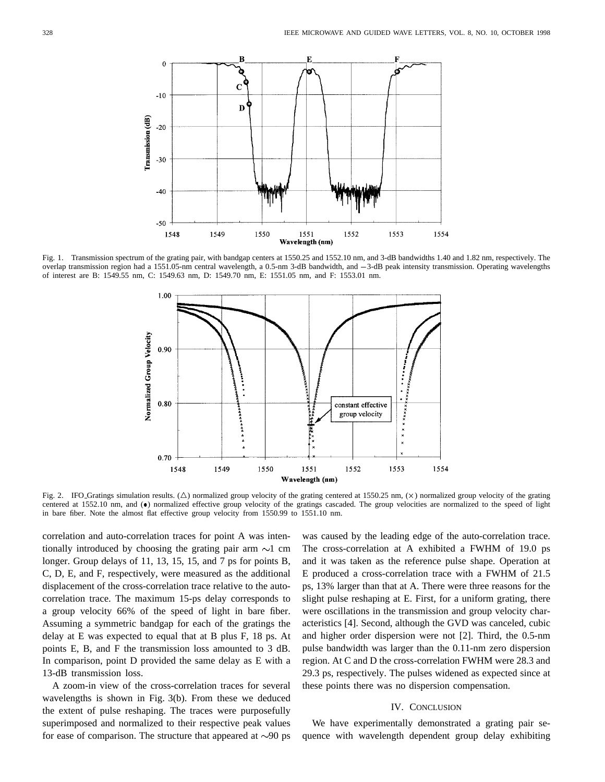

Fig. 1. Transmission spectrum of the grating pair, with bandgap centers at 1550.25 and 1552.10 nm, and 3-dB bandwidths 1.40 and 1.82 nm, respectively. The overlap transmission region had a 1551.05-nm central wavelength, a 0.5-nm 3-dB bandwidth, and 3-dB peak intensity transmission. Operating wavelengths of interest are B: 1549.55 nm, C: 1549.63 nm, D: 1549.70 nm, E: 1551.05 nm, and F: 1553.01 nm.



Fig. 2. IFO Gratings simulation results. ( $\triangle$ ) normalized group velocity of the grating centered at 1550.25 nm, ( $\times$ ) normalized group velocity of the grating centered at 1552.10 nm, and  $\bullet$ ) normalized effective group velocity of the gratings cascaded. The group velocities are normalized to the speed of light in bare fiber. Note the almost flat effective group velocity from 1550.99 to 1551.10 nm.

correlation and auto-correlation traces for point A was intentionally introduced by choosing the grating pair arm  $\sim$ 1 cm longer. Group delays of 11, 13, 15, 15, and 7 ps for points B, C, D, E, and F, respectively, were measured as the additional displacement of the cross-correlation trace relative to the autocorrelation trace. The maximum 15-ps delay corresponds to a group velocity 66% of the speed of light in bare fiber. Assuming a symmetric bandgap for each of the gratings the delay at E was expected to equal that at B plus F, 18 ps. At points E, B, and F the transmission loss amounted to 3 dB. In comparison, point D provided the same delay as E with a 13-dB transmission loss.

A zoom-in view of the cross-correlation traces for several wavelengths is shown in Fig. 3(b). From these we deduced the extent of pulse reshaping. The traces were purposefully superimposed and normalized to their respective peak values for ease of comparison. The structure that appeared at  $\sim 90$  ps was caused by the leading edge of the auto-correlation trace. The cross-correlation at A exhibited a FWHM of 19.0 ps and it was taken as the reference pulse shape. Operation at E produced a cross-correlation trace with a FWHM of 21.5 ps, 13% larger than that at A. There were three reasons for the slight pulse reshaping at E. First, for a uniform grating, there were oscillations in the transmission and group velocity characteristics [4]. Second, although the GVD was canceled, cubic and higher order dispersion were not [2]. Third, the 0.5-nm pulse bandwidth was larger than the 0.11-nm zero dispersion region. At C and D the cross-correlation FWHM were 28.3 and 29.3 ps, respectively. The pulses widened as expected since at these points there was no dispersion compensation.

## IV. CONCLUSION

We have experimentally demonstrated a grating pair sequence with wavelength dependent group delay exhibiting